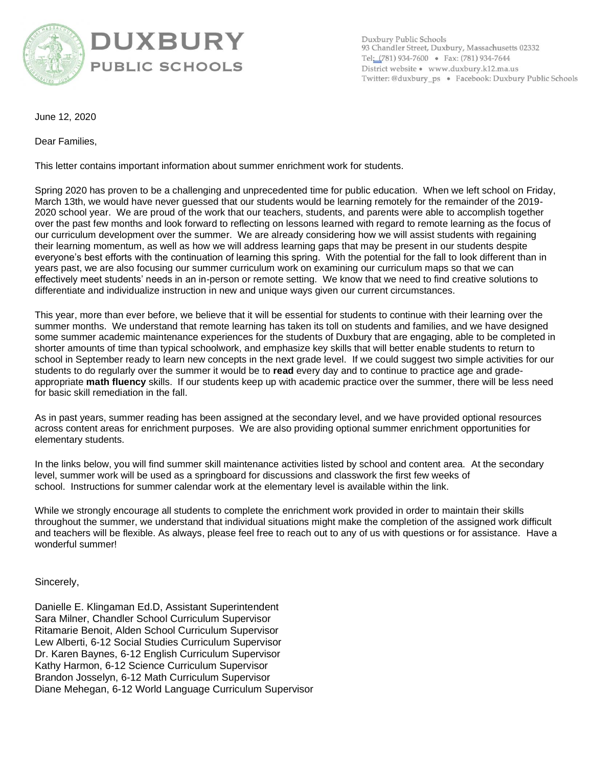

## **UXBURY PUBLIC SCHOOLS**

Duxbury Public Schools 93 Chandler Street, Duxbury, Massachusetts 02332 Tel: (781) 934-7600 · Fax: (781) 934-7644 District website · www.duxbury.k12.ma.us Twitter: @duxbury\_ps · Facebook: Duxbury Public Schools

June 12, 2020

Dear Families,

This letter contains important information about summer enrichment work for students.

Spring 2020 has proven to be a challenging and unprecedented time for public education. When we left school on Friday, March 13th, we would have never guessed that our students would be learning remotely for the remainder of the 2019- 2020 school year. We are proud of the work that our teachers, students, and parents were able to accomplish together over the past few months and look forward to reflecting on lessons learned with regard to remote learning as the focus of our curriculum development over the summer. We are already considering how we will assist students with regaining their learning momentum, as well as how we will address learning gaps that may be present in our students despite everyone's best efforts with the continuation of learning this spring. With the potential for the fall to look different than in years past, we are also focusing our summer curriculum work on examining our curriculum maps so that we can effectively meet students' needs in an in-person or remote setting. We know that we need to find creative solutions to differentiate and individualize instruction in new and unique ways given our current circumstances.

This year, more than ever before, we believe that it will be essential for students to continue with their learning over the summer months. We understand that remote learning has taken its toll on students and families, and we have designed some summer academic maintenance experiences for the students of Duxbury that are engaging, able to be completed in shorter amounts of time than typical schoolwork, and emphasize key skills that will better enable students to return to school in September ready to learn new concepts in the next grade level. If we could suggest two simple activities for our students to do regularly over the summer it would be to **read** every day and to continue to practice age and gradeappropriate **math fluency** skills. If our students keep up with academic practice over the summer, there will be less need for basic skill remediation in the fall.

As in past years, summer reading has been assigned at the secondary level, and we have provided optional resources across content areas for enrichment purposes. We are also providing optional summer enrichment opportunities for elementary students.

In the links below, you will find summer skill maintenance activities listed by school and content area. At the secondary level, summer work will be used as a springboard for discussions and classwork the first few weeks of school. Instructions for summer calendar work at the elementary level is available within the link.

While we strongly encourage all students to complete the enrichment work provided in order to maintain their skills throughout the summer, we understand that individual situations might make the completion of the assigned work difficult and teachers will be flexible. As always, please feel free to reach out to any of us with questions or for assistance. Have a wonderful summer!

Sincerely,

Danielle E. Klingaman Ed.D, Assistant Superintendent Sara Milner, Chandler School Curriculum Supervisor Ritamarie Benoit, Alden School Curriculum Supervisor Lew Alberti, 6-12 Social Studies Curriculum Supervisor Dr. Karen Baynes, 6-12 English Curriculum Supervisor Kathy Harmon, 6-12 Science Curriculum Supervisor Brandon Josselyn, 6-12 Math Curriculum Supervisor Diane Mehegan, 6-12 World Language Curriculum Supervisor